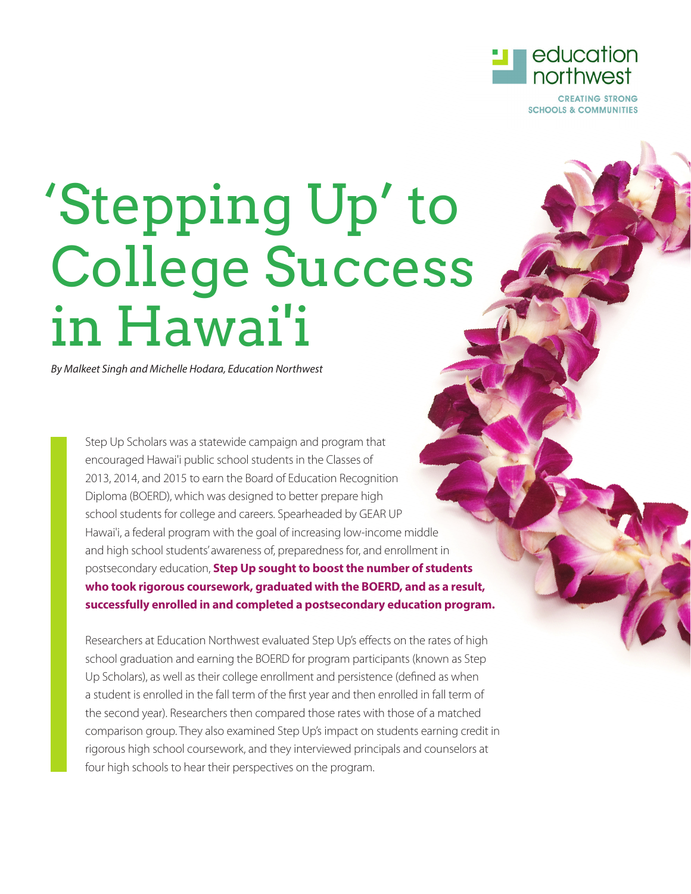

**SCHOOLS & COMMUNITIES** 

# 'Stepping Up' to College Success in Hawai'i

*By Malkeet Singh and Michelle Hodara, Education Northwest*

Step Up Scholars was a statewide campaign and program that encouraged Hawai'i public school students in the Classes of 2013, 2014, and 2015 to earn the Board of Education Recognition Diploma (BOERD), which was designed to better prepare high school students for college and careers. Spearheaded by GEAR UP Hawai'i, a federal program with the goal of increasing low-income middle and high school students' awareness of, preparedness for, and enrollment in postsecondary education, **Step Up sought to boost the number of students who took rigorous coursework, graduated with the BOERD, and as a result, successfully enrolled in and completed a postsecondary education program.**

Researchers at Education Northwest evaluated Step Up's effects on the rates of high school graduation and earning the BOERD for program participants (known as Step Up Scholars), as well as their college enrollment and persistence (defined as when a student is enrolled in the fall term of the first year and then enrolled in fall term of the second year). Researchers then compared those rates with those of a matched comparison group. They also examined Step Up's impact on students earning credit in rigorous high school coursework, and they interviewed principals and counselors at four high schools to hear their perspectives on the program.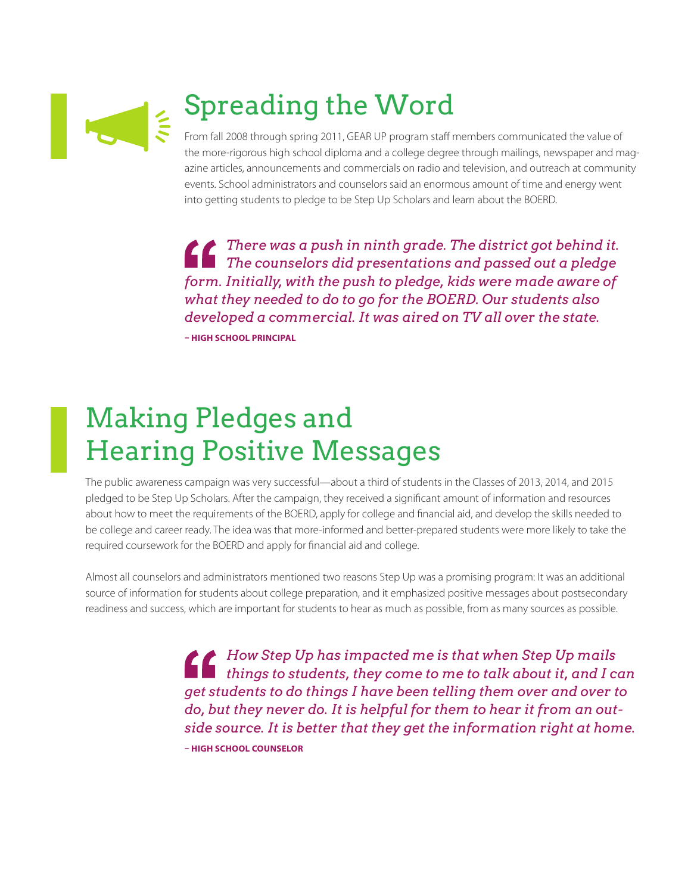

# Spreading the Word

From fall 2008 through spring 2011, GEAR UP program staff members communicated the value of the more-rigorous high school diploma and a college degree through mailings, newspaper and magazine articles, announcements and commercials on radio and television, and outreach at community events. School administrators and counselors said an enormous amount of time and energy went into getting students to pledge to be Step Up Scholars and learn about the BOERD.

*There was a push in ninth grade. The district got behind it. The counselors did presentations and passed out a pledge form. Initially, with the push to pledge, kids were made aware of what they needed to do to go for the BOERD. Our students also developed a commercial. It was aired on TV all over the state.* **– HIGH SCHOOL PRINCIPAL**

### Making Pledges and Hearing Positive Messages

The public awareness campaign was very successful—about a third of students in the Classes of 2013, 2014, and 2015 pledged to be Step Up Scholars. After the campaign, they received a significant amount of information and resources about how to meet the requirements of the BOERD, apply for college and financial aid, and develop the skills needed to be college and career ready. The idea was that more-informed and better-prepared students were more likely to take the required coursework for the BOERD and apply for financial aid and college.

Almost all counselors and administrators mentioned two reasons Step Up was a promising program: It was an additional source of information for students about college preparation, and it emphasized positive messages about postsecondary readiness and success, which are important for students to hear as much as possible, from as many sources as possible.

> *How Step Up has impacted me is that when Step Up mails things to students, they come to me to talk about it, and I can get students to do things I have been telling them over and over to do, but they never do. It is helpful for them to hear it from an outside source. It is better that they get the information right at home.*  **– HIGH SCHOOL COUNSELOR**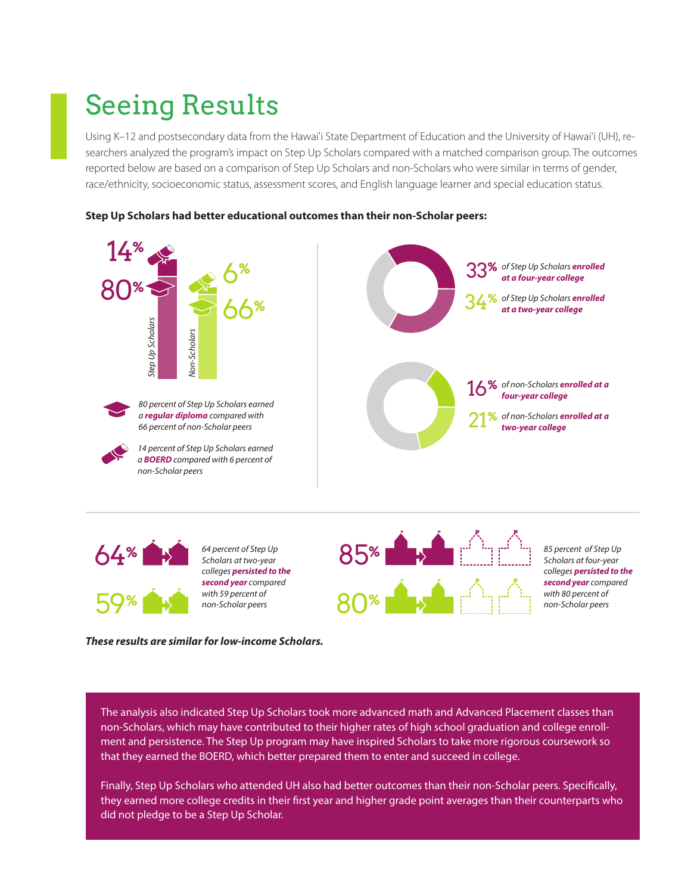#### Seeing Results

Using K–12 and postsecondary data from the Hawai'i State Department of Education and the University of Hawai'i (UH), researchers analyzed the program's impact on Step Up Scholars compared with a matched comparison group. The outcomes reported below are based on a comparison of Step Up Scholars and non-Scholars who were similar in terms of gender, race/ethnicity, socioeconomic status, assessment scores, and English language learner and special education status.





*These results are similar for low-income Scholars.* 

The analysis also indicated Step Up Scholars took more advanced math and Advanced Placement classes than non-Scholars, which may have contributed to their higher rates of high school graduation and college enrollment and persistence. The Step Up program may have inspired Scholars to take more rigorous coursework so that they earned the BOERD, which better prepared them to enter and succeed in college.

Finally, Step Up Scholars who attended UH also had better outcomes than their non-Scholar peers. Specifically, they earned more college credits in their first year and higher grade point averages than their counterparts who did not pledge to be a Step Up Scholar.